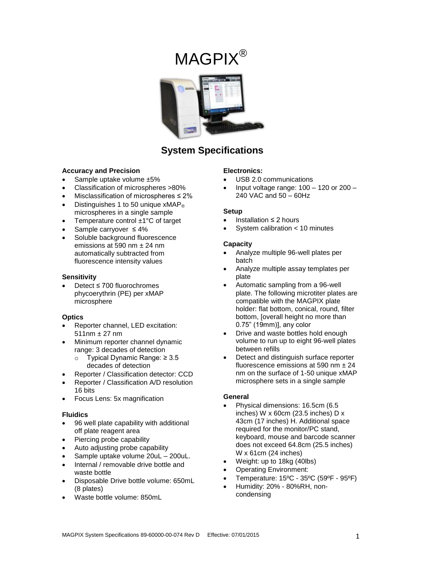# MAGPIX®



# **System Specifications**

### **Accuracy and Precision**

- Sample uptake volume ±5%
- Classification of microspheres >80%
- Misclassification of microspheres ≤ 2%
- Distinguishes 1 to 50 unique  $xMAP<sub>®</sub>$ microspheres in a single sample
- Temperature control ±1°C of target
- Sample carryover ≤ 4%
- Soluble background fluorescence emissions at 590 nm ± 24 nm automatically subtracted from fluorescence intensity values

### **Sensitivity**

 Detect ≤ 700 fluorochromes phycoerythrin (PE) per xMAP microsphere

#### **Optics**

- Reporter channel, LED excitation:  $511nm + 27 nm$
- Minimum reporter channel dynamic range: 3 decades of detection
	- o Typical Dynamic Range: ≥ 3.5 decades of detection
	- Reporter / Classification detector: CCD
- Reporter / Classification A/D resolution 16 bits
- Focus Lens: 5x magnification

#### **Fluidics**

- 96 well plate capability with additional off plate reagent area
- Piercing probe capability
- Auto adjusting probe capability
- Sample uptake volume 20uL 200uL.
- Internal / removable drive bottle and waste bottle
- Disposable Drive bottle volume: 650mL (8 plates)
- Waste bottle volume: 850mL

### **Electronics:**

- USB 2.0 communications
- Input voltage range: 100 120 or 200 240 VAC and 50 – 60Hz

#### **Setup**

- Installation ≤ 2 hours
- System calibration < 10 minutes

### **Capacity**

- Analyze multiple 96-well plates per batch
- Analyze multiple assay templates per plate
- Automatic sampling from a 96-well plate. The following microtiter plates are compatible with the MAGPIX plate holder: flat bottom, conical, round, filter bottom, [overall height no more than 0.75" (19mm)], any color
- Drive and waste bottles hold enough volume to run up to eight 96-well plates between refills
- Detect and distinguish surface reporter fluorescence emissions at 590 nm  $\pm 24$ nm on the surface of 1-50 unique xMAP microsphere sets in a single sample

## **General**

- Physical dimensions: 16.5cm (6.5 inches) W x 60cm (23.5 inches) D x 43cm (17 inches) H. Additional space required for the monitor/PC stand, keyboard, mouse and barcode scanner does not exceed 64.8cm (25.5 inches) W x 61cm (24 inches)
- Weight: up to 18kg (40lbs)
- Operating Environment:
- Temperature: 15ºC 35ºC (59ºF 95ºF)
- Humidity: 20% 80%RH, noncondensing